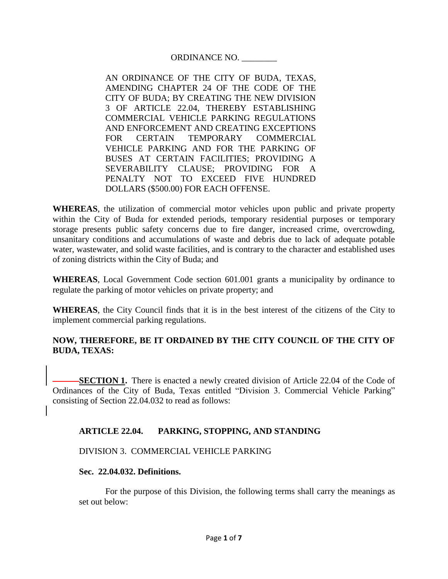ORDINANCE NO. \_\_\_\_\_\_\_\_

AN ORDINANCE OF THE CITY OF BUDA, TEXAS, AMENDING CHAPTER 24 OF THE CODE OF THE CITY OF BUDA; BY CREATING THE NEW DIVISION 3 OF ARTICLE 22.04, THEREBY ESTABLISHING COMMERCIAL VEHICLE PARKING REGULATIONS AND ENFORCEMENT AND CREATING EXCEPTIONS FOR CERTAIN TEMPORARY COMMERCIAL VEHICLE PARKING AND FOR THE PARKING OF BUSES AT CERTAIN FACILITIES; PROVIDING A SEVERABILITY CLAUSE; PROVIDING FOR A PENALTY NOT TO EXCEED FIVE HUNDRED DOLLARS (\$500.00) FOR EACH OFFENSE.

**WHEREAS**, the utilization of commercial motor vehicles upon public and private property within the City of Buda for extended periods, temporary residential purposes or temporary storage presents public safety concerns due to fire danger, increased crime, overcrowding, unsanitary conditions and accumulations of waste and debris due to lack of adequate potable water, wastewater, and solid waste facilities, and is contrary to the character and established uses of zoning districts within the City of Buda; and

**WHEREAS**, Local Government Code section 601.001 grants a municipality by ordinance to regulate the parking of motor vehicles on private property; and

**WHEREAS**, the City Council finds that it is in the best interest of the citizens of the City to implement commercial parking regulations.

## **NOW, THEREFORE, BE IT ORDAINED BY THE CITY COUNCIL OF THE CITY OF BUDA, TEXAS:**

**SECTION 1.** There is enacted a newly created division of Article 22.04 of the Code of Ordinances of the City of Buda, Texas entitled "Division 3. Commercial Vehicle Parking" consisting of Section 22.04.032 to read as follows:

## **ARTICLE 22.04. PARKING, STOPPING, AND STANDING**

DIVISION 3. COMMERCIAL VEHICLE PARKING

### **Sec. 22.04.032. Definitions.**

For the purpose of this Division, the following terms shall carry the meanings as set out below: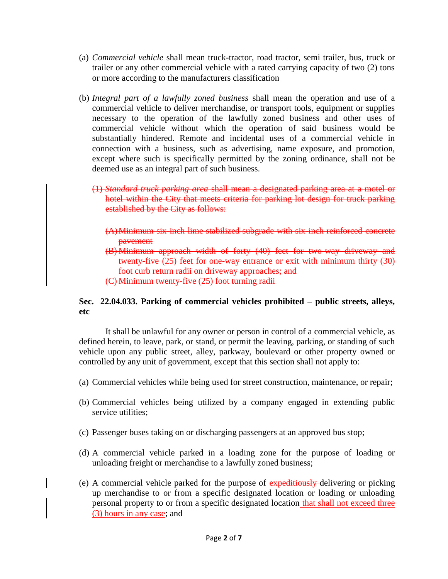- (a) *Commercial vehicle* shall mean truck-tractor, road tractor, semi trailer, bus, truck or trailer or any other commercial vehicle with a rated carrying capacity of two (2) tons or more according to the manufacturers classification
- (b) *Integral part of a lawfully zoned business* shall mean the operation and use of a commercial vehicle to deliver merchandise, or transport tools, equipment or supplies necessary to the operation of the lawfully zoned business and other uses of commercial vehicle without which the operation of said business would be substantially hindered. Remote and incidental uses of a commercial vehicle in connection with a business, such as advertising, name exposure, and promotion, except where such is specifically permitted by the zoning ordinance, shall not be deemed use as an integral part of such business.
	- (1) *Standard truck parking area* shall mean a designated parking area at a motel or hotel within the City that meets criteria for parking lot design for truck parking established by the City as follows:
		- (A)Minimum six-inch lime stabilized subgrade with six-inch reinforced concrete pavement
		- (B) Minimum approach width of forty (40) feet for two-way driveway and twenty-five (25) feet for one-way entrance or exit with minimum thirty (30) foot curb return radii on driveway approaches; and (C) Minimum twenty-five (25) foot turning radii

# **Sec. 22.04.033. Parking of commercial vehicles prohibited – public streets, alleys, etc**

It shall be unlawful for any owner or person in control of a commercial vehicle, as defined herein, to leave, park, or stand, or permit the leaving, parking, or standing of such vehicle upon any public street, alley, parkway, boulevard or other property owned or controlled by any unit of government, except that this section shall not apply to:

- (a) Commercial vehicles while being used for street construction, maintenance, or repair;
- (b) Commercial vehicles being utilized by a company engaged in extending public service utilities:
- (c) Passenger buses taking on or discharging passengers at an approved bus stop;
- (d) A commercial vehicle parked in a loading zone for the purpose of loading or unloading freight or merchandise to a lawfully zoned business;
- (e) A commercial vehicle parked for the purpose of expeditiously delivering or picking up merchandise to or from a specific designated location or loading or unloading personal property to or from a specific designated location that shall not exceed three (3) hours in any case; and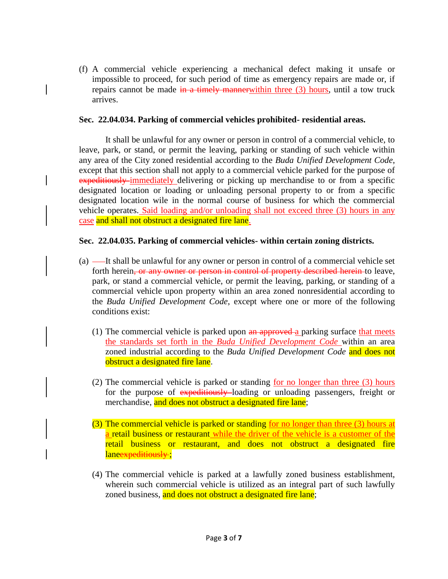(f) A commercial vehicle experiencing a mechanical defect making it unsafe or impossible to proceed, for such period of time as emergency repairs are made or, if repairs cannot be made  $\frac{1}{2}$  in a timely manner within three (3) hours, until a tow truck arrives.

#### **Sec. 22.04.034. Parking of commercial vehicles prohibited- residential areas.**

It shall be unlawful for any owner or person in control of a commercial vehicle, to leave, park, or stand, or permit the leaving, parking or standing of such vehicle within any area of the City zoned residential according to the *Buda Unified Development Code*, except that this section shall not apply to a commercial vehicle parked for the purpose of expeditiously immediately delivering or picking up merchandise to or from a specific designated location or loading or unloading personal property to or from a specific designated location wile in the normal course of business for which the commercial vehicle operates. Said loading and/or unloading shall not exceed three (3) hours in any case and shall not obstruct a designated fire lane.

### **Sec. 22.04.035. Parking of commercial vehicles- within certain zoning districts.**

- (a) —It shall be unlawful for any owner or person in control of a commercial vehicle set forth herein, or any owner or person in control of property described herein to leave, park, or stand a commercial vehicle, or permit the leaving, parking, or standing of a commercial vehicle upon property within an area zoned nonresidential according to the *Buda Unified Development Code*, except where one or more of the following conditions exist:
	- (1) The commercial vehicle is parked upon  $an$  approved a parking surface that meets the standards set forth in the *Buda Unified Development Code* within an area zoned industrial according to the *Buda Unified Development Code* and does not obstruct a designated fire lane.
	- (2) The commercial vehicle is parked or standing for no longer than three (3) hours for the purpose of expeditiously-loading or unloading passengers, freight or merchandise, and does not obstruct a designated fire lane;
	- (3) The commercial vehicle is parked or standing for no longer than three (3) hours at a retail business or restaurant while the driver of the vehicle is a customer of the retail business or restaurant, and does not obstruct a designated fire laneexpeditiously;
	- (4) The commercial vehicle is parked at a lawfully zoned business establishment, wherein such commercial vehicle is utilized as an integral part of such lawfully zoned business, and does not obstruct a designated fire lane;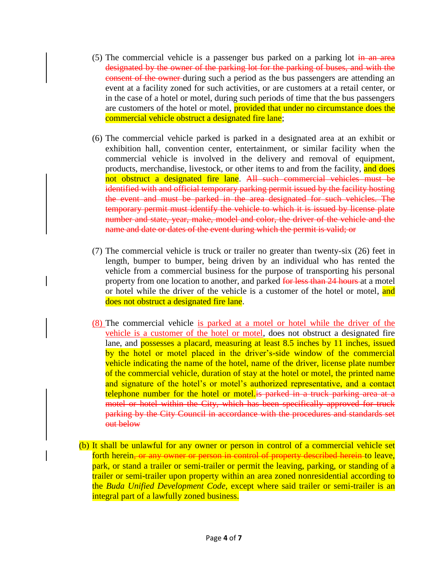- (5) The commercial vehicle is a passenger bus parked on a parking lot  $\frac{1}{2}$  and  $\frac{1}{2}$  area designated by the owner of the parking lot for the parking of buses, and with the consent of the owner during such a period as the bus passengers are attending an event at a facility zoned for such activities, or are customers at a retail center, or in the case of a hotel or motel, during such periods of time that the bus passengers are customers of the hotel or motel, **provided that under no circumstance does the** commercial vehicle obstruct a designated fire lane;
- (6) The commercial vehicle parked is parked in a designated area at an exhibit or exhibition hall, convention center, entertainment, or similar facility when the commercial vehicle is involved in the delivery and removal of equipment, products, merchandise, livestock, or other items to and from the facility, and does not obstruct a designated fire lane. All such commercial vehicles must be identified with and official temporary parking permit issued by the facility hosting the event and must be parked in the area designated for such vehicles. The temporary permit must identify the vehicle to which it is issued by license plate number and state, year, make, model and color, the driver of the vehicle and the name and date or dates of the event during which the permit is valid; or
- (7) The commercial vehicle is truck or trailer no greater than twenty-six (26) feet in length, bumper to bumper, being driven by an individual who has rented the vehicle from a commercial business for the purpose of transporting his personal property from one location to another, and parked for less than 24 hours at a motel or hotel while the driver of the vehicle is a customer of the hotel or motel, and does not obstruct a designated fire lane.
- (8) The commercial vehicle is parked at a motel or hotel while the driver of the vehicle is a customer of the hotel or motel, does not obstruct a designated fire lane, and **possesses a placard, measuring at least 8.5 inches by 11 inches, issued** by the hotel or motel placed in the driver's-side window of the commercial vehicle indicating the name of the hotel, name of the driver, license plate number of the commercial vehicle, duration of stay at the hotel or motel, the printed name and signature of the hotel's or motel's authorized representative, and a contact telephone number for the hotel or motel is parked in a truck parking area at a motel or hotel within the City, which has been specifically approved for truck parking by the City Council in accordance with the procedures and standards set out below
- (b) It shall be unlawful for any owner or person in control of a commercial vehicle set forth herein, or any owner or person in control of property described herein to leave, park, or stand a trailer or semi-trailer or permit the leaving, parking, or standing of a trailer or semi-trailer upon property within an area zoned nonresidential according to the *Buda Unified Development Code*, except where said trailer or semi-trailer is an integral part of a lawfully zoned business.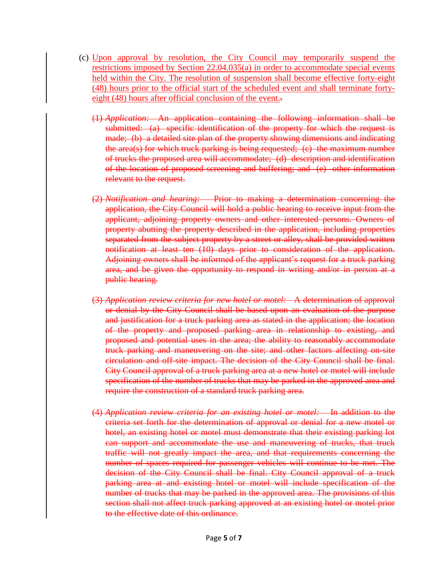- (c) Upon approval by resolution, the City Council may temporarily suspend the restrictions imposed by Section 22.04.035(a) in order to accommodate special events held within the City. The resolution of suspension shall become effective forty-eight (48) hours prior to the official start of the scheduled event and shall terminate fortyeight (48) hours after official conclusion of the event.
	- (1) *Application:* An application containing the following information shall be submitted: (a) specific identification of the property for which the request is made; (b) a detailed site plan of the property showing dimensions and indicating the area(s) for which truck parking is being requested; (c) the maximum number of trucks the proposed area will accommodate; (d) description and identification of the location of proposed screening and buffering; and (e) other information relevant to the request.
	- (2) *Notification and hearing:* Prior to making a determination concerning the application, the City Council will hold a public hearing to receive input from the applicant, adjoining property owners and other interested persons. Owners of property abutting the property described in the application, including properties separated from the subject property by a street or alley, shall be provided written notification at least ten (10) days prior to consideration of the application. Adjoining owners shall be informed of the applicant's request for a truck parking area, and be given the opportunity to respond in writing and/or in person at a public hearing.
	- (3) *Application review criteria for new hotel or motel:* A determination of approval or denial by the City Council shall be based upon an evaluation of the purpose and justification for a truck parking area as stated in the application; the location of the property and proposed parking area in relationship to existing, and proposed and potential uses in the area; the ability to reasonably accommodate truck parking and maneuvering on the site; and other factors affecting on-site circulation and off-site impact. The decision of the City Council shall be final. City Council approval of a truck parking area at a new hotel or motel will include specification of the number of trucks that may be parked in the approved area and require the construction of a standard truck parking area.
	- (4) *Application review criteria for an existing hotel or motel:* In addition to the criteria set forth for the determination of approval or denial for a new motel or hotel, an existing hotel or motel must demonstrate that their existing parking lot can support and accommodate the use and maneuvering of trucks, that truck traffic will not greatly impact the area, and that requirements concerning the number of spaces required for passenger vehicles will continue to be met. The decision of the City Council shall be final. City Council approval of a truck parking area at and existing hotel or motel will include specification of the number of trucks that may be parked in the approved area. The provisions of this section shall not affect truck parking approved at an existing hotel or motel prior to the effective date of this ordinance.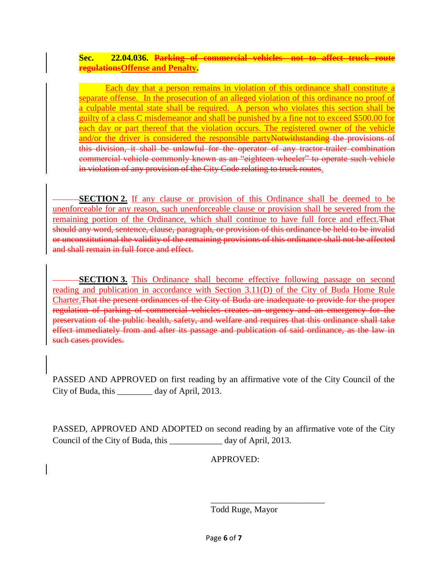## **Sec. 22.04.036. Parking of commercial vehicles- not to affect truck route regulationsOffense and Penalty.**

Each day that a person remains in violation of this ordinance shall constitute a separate offense. In the prosecution of an alleged violation of this ordinance no proof of a culpable mental state shall be required. A person who violates this section shall be guilty of a class C misdemeanor and shall be punished by a fine not to exceed \$500.00 for each day or part thereof that the violation occurs. The registered owner of the vehicle and/or the driver is considered the responsible partyNotwithstanding the provisions of this division, it shall be unlawful for the operator of any tractor-trailer combination commercial vehicle commonly known as an "eighteen wheeler" to operate such vehicle in violation of any provision of the City Code relating to truck routes.

**SECTION 2.** If any clause or provision of this Ordinance shall be deemed to be unenforceable for any reason, such unenforceable clause or provision shall be severed from the remaining portion of the Ordinance, which shall continue to have full force and effect.That should any word, sentence, clause, paragraph, or provision of this ordinance be held to be invalid or unconstitutional the validity of the remaining provisions of this ordinance shall not be affected and shall remain in full force and effect.

**SECTION 3.** This Ordinance shall become effective following passage on second reading and publication in accordance with Section 3.11(D) of the City of Buda Home Rule Charter.That the present ordinances of the City of Buda are inadequate to provide for the proper regulation of parking of commercial vehicles creates an urgency and an emergency for the preservation of the public health, safety, and welfare and requires that this ordinance shall take effect immediately from and after its passage and publication of said ordinance, as the law in such cases provides.

PASSED AND APPROVED on first reading by an affirmative vote of the City Council of the City of Buda, this day of April, 2013.

PASSED, APPROVED AND ADOPTED on second reading by an affirmative vote of the City Council of the City of Buda, this \_\_\_\_\_\_\_\_\_\_\_\_ day of April, 2013.

APPROVED:

Todd Ruge, Mayor

\_\_\_\_\_\_\_\_\_\_\_\_\_\_\_\_\_\_\_\_\_\_\_\_\_\_